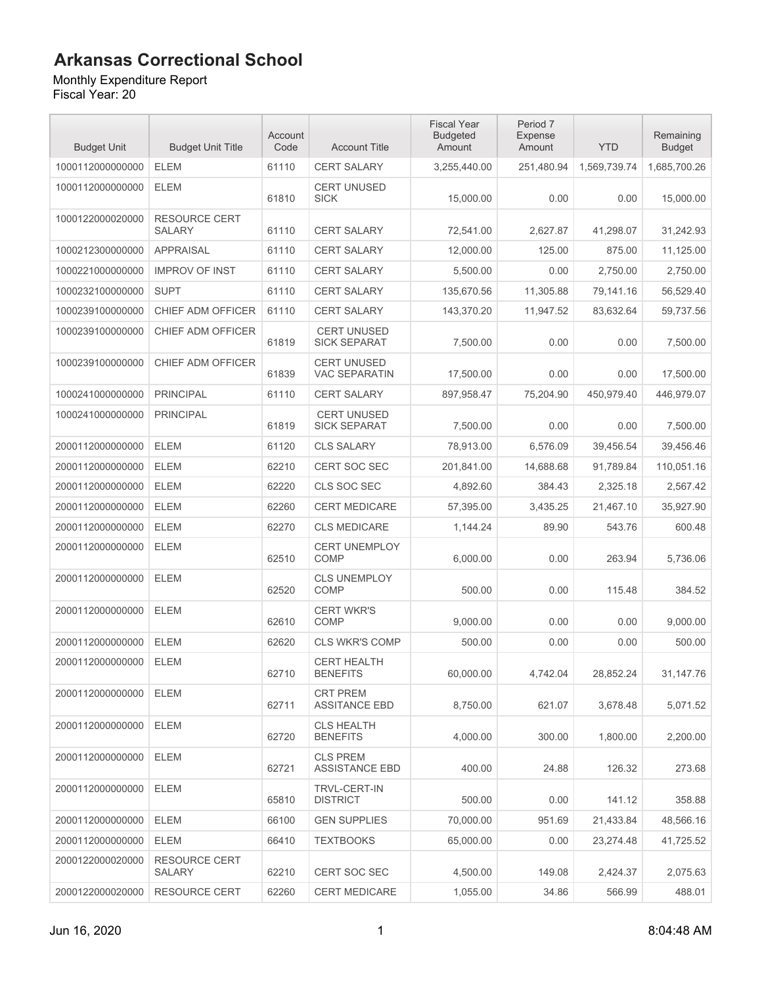#### Monthly Expenditure Report

| <b>Budget Unit</b> | <b>Budget Unit Title</b>              | Account<br>Code | <b>Account Title</b>                       | <b>Fiscal Year</b><br><b>Budgeted</b><br>Amount | Period 7<br>Expense<br>Amount | <b>YTD</b>   | Remaining<br><b>Budget</b> |
|--------------------|---------------------------------------|-----------------|--------------------------------------------|-------------------------------------------------|-------------------------------|--------------|----------------------------|
| 1000112000000000   | <b>ELEM</b>                           | 61110           | <b>CERT SALARY</b>                         | 3,255,440.00                                    | 251,480.94                    | 1,569,739.74 | 1,685,700.26               |
| 1000112000000000   | <b>ELEM</b>                           | 61810           | <b>CERT UNUSED</b><br><b>SICK</b>          | 15,000.00                                       | 0.00                          | 0.00         | 15,000.00                  |
| 1000122000020000   | <b>RESOURCE CERT</b><br><b>SALARY</b> | 61110           | <b>CERT SALARY</b>                         | 72,541.00                                       | 2,627.87                      | 41,298.07    | 31,242.93                  |
| 1000212300000000   | <b>APPRAISAL</b>                      | 61110           | <b>CERT SALARY</b>                         | 12,000.00                                       | 125.00                        | 875.00       | 11,125.00                  |
| 1000221000000000   | <b>IMPROV OF INST</b>                 | 61110           | <b>CERT SALARY</b>                         | 5.500.00                                        | 0.00                          | 2,750.00     | 2.750.00                   |
| 1000232100000000   | <b>SUPT</b>                           | 61110           | <b>CERT SALARY</b>                         | 135,670.56                                      | 11.305.88                     | 79.141.16    | 56,529.40                  |
| 1000239100000000   | CHIEF ADM OFFICER                     | 61110           | <b>CERT SALARY</b>                         | 143,370.20                                      | 11,947.52                     | 83,632.64    | 59,737.56                  |
| 1000239100000000   | CHIEF ADM OFFICER                     | 61819           | <b>CERT UNUSED</b><br><b>SICK SEPARAT</b>  | 7,500.00                                        | 0.00                          | 0.00         | 7,500.00                   |
| 1000239100000000   | CHIEF ADM OFFICER                     | 61839           | <b>CERT UNUSED</b><br><b>VAC SEPARATIN</b> | 17,500.00                                       | 0.00                          | 0.00         | 17,500.00                  |
| 1000241000000000   | <b>PRINCIPAL</b>                      | 61110           | CERT SALARY                                | 897,958.47                                      | 75,204.90                     | 450,979.40   | 446,979.07                 |
| 1000241000000000   | <b>PRINCIPAL</b>                      | 61819           | <b>CERT UNUSED</b><br><b>SICK SEPARAT</b>  | 7,500.00                                        | 0.00                          | 0.00         | 7,500.00                   |
| 2000112000000000   | <b>ELEM</b>                           | 61120           | <b>CLS SALARY</b>                          | 78,913.00                                       | 6,576.09                      | 39.456.54    | 39,456.46                  |
| 2000112000000000   | <b>ELEM</b>                           | 62210           | <b>CERT SOC SEC</b>                        | 201,841.00                                      | 14.688.68                     | 91,789.84    | 110,051.16                 |
| 2000112000000000   | <b>ELEM</b>                           | 62220           | CLS SOC SEC                                | 4,892.60                                        | 384.43                        | 2,325.18     | 2,567.42                   |
| 2000112000000000   | <b>ELEM</b>                           | 62260           | <b>CERT MEDICARE</b>                       | 57,395.00                                       | 3,435.25                      | 21,467.10    | 35,927.90                  |
| 2000112000000000   | <b>ELEM</b>                           | 62270           | <b>CLS MEDICARE</b>                        | 1,144.24                                        | 89.90                         | 543.76       | 600.48                     |
| 2000112000000000   | <b>ELEM</b>                           | 62510           | <b>CERT UNEMPLOY</b><br><b>COMP</b>        | 6,000.00                                        | 0.00                          | 263.94       | 5,736.06                   |
| 2000112000000000   | <b>ELEM</b>                           | 62520           | <b>CLS UNEMPLOY</b><br><b>COMP</b>         | 500.00                                          | 0.00                          | 115.48       | 384.52                     |
| 2000112000000000   | <b>ELEM</b>                           | 62610           | <b>CERT WKR'S</b><br><b>COMP</b>           | 9,000.00                                        | 0.00                          | 0.00         | 9,000.00                   |
| 2000112000000000   | <b>ELEM</b>                           | 62620           | <b>CLS WKR'S COMP</b>                      | 500.00                                          | 0.00                          | 0.00         | 500.00                     |
| 2000112000000000   | <b>ELEM</b>                           | 62710           | <b>CERT HEALTH</b><br><b>BENEFITS</b>      | 60,000.00                                       | 4,742.04                      | 28,852.24    | 31,147.76                  |
| 2000112000000000   | <b>ELEM</b>                           | 62711           | <b>CRT PREM</b><br><b>ASSITANCE EBD</b>    | 8,750.00                                        | 621.07                        | 3,678.48     | 5,071.52                   |
| 2000112000000000   | ELEM                                  | 62720           | <b>CLS HEALTH</b><br><b>BENEFITS</b>       | 4,000.00                                        | 300.00                        | 1,800.00     | 2,200.00                   |
| 2000112000000000   | <b>ELEM</b>                           | 62721           | <b>CLS PREM</b><br><b>ASSISTANCE EBD</b>   | 400.00                                          | 24.88                         | 126.32       | 273.68                     |
| 2000112000000000   | <b>ELEM</b>                           | 65810           | <b>TRVL-CERT-IN</b><br><b>DISTRICT</b>     | 500.00                                          | 0.00                          | 141.12       | 358.88                     |
| 2000112000000000   | <b>ELEM</b>                           | 66100           | <b>GEN SUPPLIES</b>                        | 70,000.00                                       | 951.69                        | 21,433.84    | 48,566.16                  |
| 2000112000000000   | <b>ELEM</b>                           | 66410           | <b>TEXTBOOKS</b>                           | 65,000.00                                       | 0.00                          | 23,274.48    | 41,725.52                  |
| 2000122000020000   | <b>RESOURCE CERT</b><br>SALARY        | 62210           | <b>CERT SOC SEC</b>                        | 4,500.00                                        | 149.08                        | 2,424.37     | 2,075.63                   |
| 2000122000020000   | <b>RESOURCE CERT</b>                  | 62260           | <b>CERT MEDICARE</b>                       | 1,055.00                                        | 34.86                         | 566.99       | 488.01                     |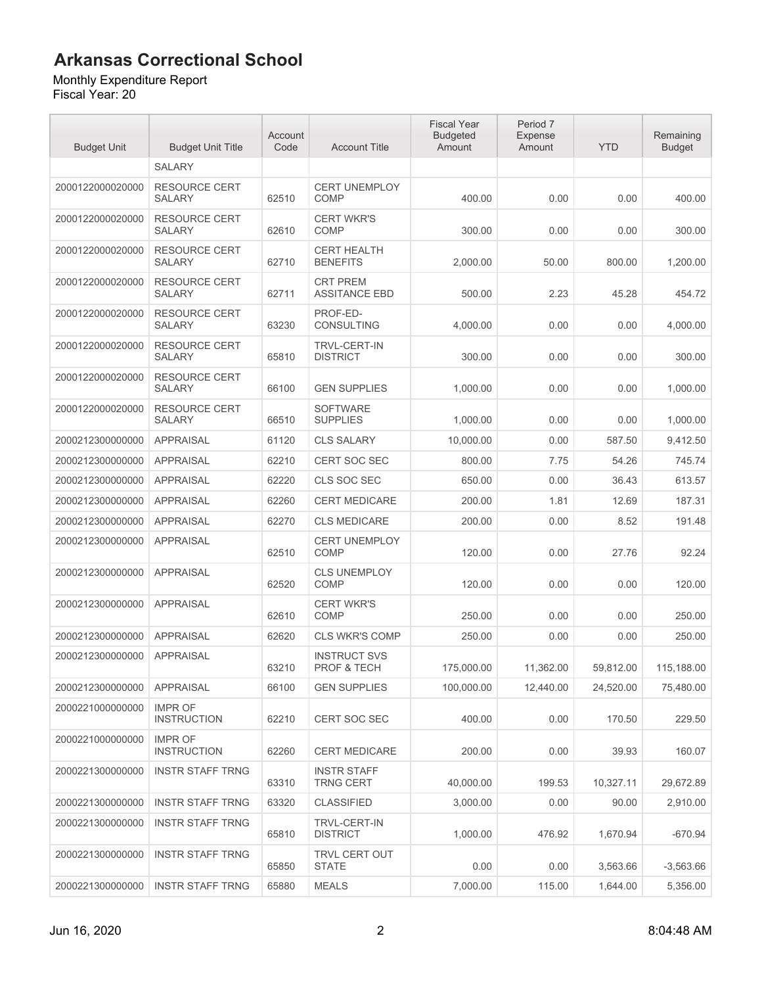#### Monthly Expenditure Report

| <b>Budget Unit</b> | <b>Budget Unit Title</b>              | Account<br>Code | <b>Account Title</b>                          | <b>Fiscal Year</b><br><b>Budgeted</b><br>Amount | Period 7<br>Expense<br>Amount | <b>YTD</b> | Remaining<br><b>Budget</b> |
|--------------------|---------------------------------------|-----------------|-----------------------------------------------|-------------------------------------------------|-------------------------------|------------|----------------------------|
|                    | <b>SALARY</b>                         |                 |                                               |                                                 |                               |            |                            |
| 2000122000020000   | <b>RESOURCE CERT</b><br><b>SALARY</b> | 62510           | <b>CERT UNEMPLOY</b><br><b>COMP</b>           | 400.00                                          | 0.00                          | 0.00       | 400.00                     |
| 2000122000020000   | <b>RESOURCE CERT</b><br><b>SALARY</b> | 62610           | <b>CERT WKR'S</b><br><b>COMP</b>              | 300.00                                          | 0.00                          | 0.00       | 300.00                     |
| 2000122000020000   | <b>RESOURCE CERT</b><br>SALARY        | 62710           | <b>CERT HEALTH</b><br><b>BENEFITS</b>         | 2,000.00                                        | 50.00                         | 800.00     | 1,200.00                   |
| 2000122000020000   | <b>RESOURCE CERT</b><br><b>SALARY</b> | 62711           | <b>CRT PREM</b><br><b>ASSITANCE EBD</b>       | 500.00                                          | 2.23                          | 45.28      | 454.72                     |
| 2000122000020000   | <b>RESOURCE CERT</b><br><b>SALARY</b> | 63230           | PROF-ED-<br><b>CONSULTING</b>                 | 4,000.00                                        | 0.00                          | 0.00       | 4,000.00                   |
| 2000122000020000   | <b>RESOURCE CERT</b><br><b>SALARY</b> | 65810           | <b>TRVL-CERT-IN</b><br><b>DISTRICT</b>        | 300.00                                          | 0.00                          | 0.00       | 300.00                     |
| 2000122000020000   | <b>RESOURCE CERT</b><br><b>SALARY</b> | 66100           | <b>GEN SUPPLIES</b>                           | 1,000.00                                        | 0.00                          | 0.00       | 1,000.00                   |
| 2000122000020000   | <b>RESOURCE CERT</b><br><b>SALARY</b> | 66510           | <b>SOFTWARE</b><br><b>SUPPLIES</b>            | 1,000.00                                        | 0.00                          | 0.00       | 1,000.00                   |
| 2000212300000000   | <b>APPRAISAL</b>                      | 61120           | <b>CLS SALARY</b>                             | 10,000.00                                       | 0.00                          | 587.50     | 9,412.50                   |
| 2000212300000000   | <b>APPRAISAL</b>                      | 62210           | <b>CERT SOC SEC</b>                           | 800.00                                          | 7.75                          | 54.26      | 745.74                     |
| 2000212300000000   | <b>APPRAISAL</b>                      | 62220           | CLS SOC SEC                                   | 650.00                                          | 0.00                          | 36.43      | 613.57                     |
| 2000212300000000   | <b>APPRAISAL</b>                      | 62260           | <b>CERT MEDICARE</b>                          | 200.00                                          | 1.81                          | 12.69      | 187.31                     |
| 2000212300000000   | <b>APPRAISAL</b>                      | 62270           | <b>CLS MEDICARE</b>                           | 200.00                                          | 0.00                          | 8.52       | 191.48                     |
| 2000212300000000   | <b>APPRAISAL</b>                      | 62510           | <b>CERT UNEMPLOY</b><br><b>COMP</b>           | 120.00                                          | 0.00                          | 27.76      | 92.24                      |
| 2000212300000000   | <b>APPRAISAL</b>                      | 62520           | <b>CLS UNEMPLOY</b><br><b>COMP</b>            | 120.00                                          | 0.00                          | 0.00       | 120.00                     |
| 2000212300000000   | <b>APPRAISAL</b>                      | 62610           | <b>CERT WKR'S</b><br><b>COMP</b>              | 250.00                                          | 0.00                          | 0.00       | 250.00                     |
| 2000212300000000   | <b>APPRAISAL</b>                      | 62620           | <b>CLS WKR'S COMP</b>                         | 250.00                                          | 0.00                          | 0.00       | 250.00                     |
| 2000212300000000   | <b>APPRAISAL</b>                      | 63210           | <b>INSTRUCT SVS</b><br><b>PROF &amp; TECH</b> | 175,000.00                                      | 11,362.00                     | 59,812.00  | 115,188.00                 |
| 2000212300000000   | <b>APPRAISAL</b>                      | 66100           | <b>GEN SUPPLIES</b>                           | 100,000.00                                      | 12,440.00                     | 24,520.00  | 75,480.00                  |
| 2000221000000000   | <b>IMPR OF</b><br><b>INSTRUCTION</b>  | 62210           | <b>CERT SOC SEC</b>                           | 400.00                                          | 0.00                          | 170.50     | 229.50                     |
| 2000221000000000   | <b>IMPR OF</b><br><b>INSTRUCTION</b>  | 62260           | <b>CERT MEDICARE</b>                          | 200.00                                          | 0.00                          | 39.93      | 160.07                     |
| 2000221300000000   | <b>INSTR STAFF TRNG</b>               | 63310           | <b>INSTR STAFF</b><br><b>TRNG CERT</b>        | 40,000.00                                       | 199.53                        | 10,327.11  | 29,672.89                  |
| 2000221300000000   | <b>INSTR STAFF TRNG</b>               | 63320           | <b>CLASSIFIED</b>                             | 3,000.00                                        | 0.00                          | 90.00      | 2,910.00                   |
| 2000221300000000   | <b>INSTR STAFF TRNG</b>               | 65810           | <b>TRVL-CERT-IN</b><br><b>DISTRICT</b>        | 1,000.00                                        | 476.92                        | 1,670.94   | $-670.94$                  |
| 2000221300000000   | <b>INSTR STAFF TRNG</b>               | 65850           | TRVL CERT OUT<br><b>STATE</b>                 | 0.00                                            | 0.00                          | 3,563.66   | $-3,563.66$                |
| 2000221300000000   | <b>INSTR STAFF TRNG</b>               | 65880           | <b>MEALS</b>                                  | 7,000.00                                        | 115.00                        | 1,644.00   | 5,356.00                   |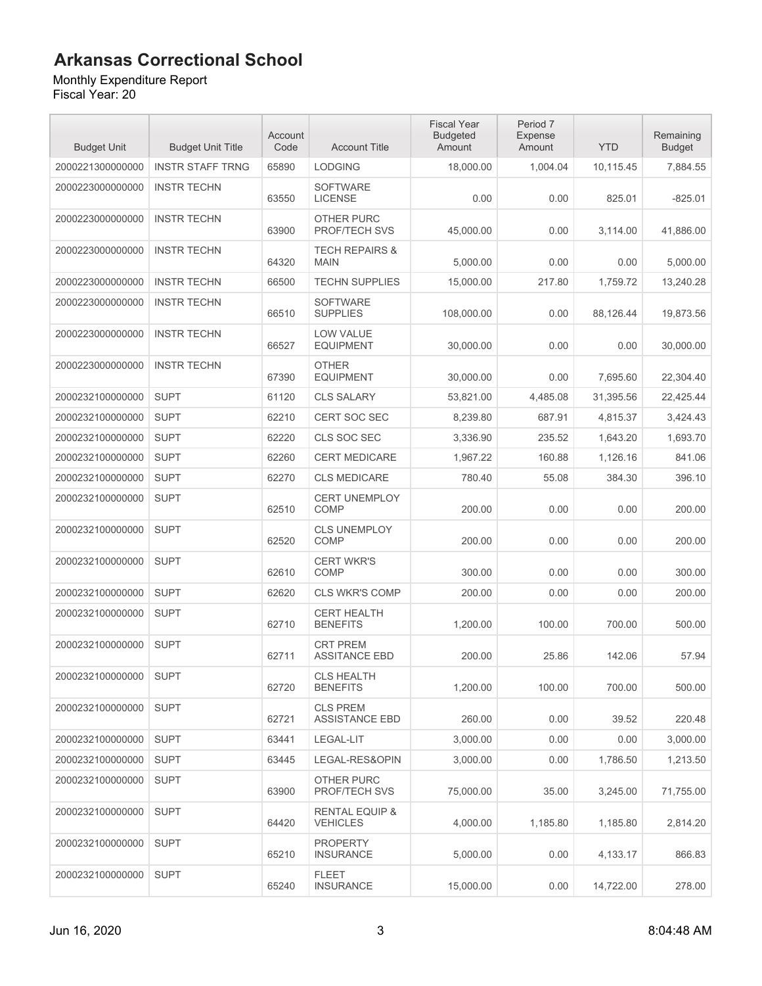#### Monthly Expenditure Report

| <b>Budget Unit</b> | <b>Budget Unit Title</b> | Account<br>Code | <b>Account Title</b>                         | <b>Fiscal Year</b><br><b>Budgeted</b><br>Amount | Period 7<br>Expense<br>Amount | <b>YTD</b> | Remaining<br><b>Budget</b> |
|--------------------|--------------------------|-----------------|----------------------------------------------|-------------------------------------------------|-------------------------------|------------|----------------------------|
| 2000221300000000   | <b>INSTR STAFF TRNG</b>  | 65890           | <b>LODGING</b>                               | 18,000.00                                       | 1,004.04                      | 10,115.45  | 7,884.55                   |
| 2000223000000000   | <b>INSTR TECHN</b>       | 63550           | <b>SOFTWARE</b><br><b>LICENSE</b>            | 0.00                                            | 0.00                          | 825.01     | $-825.01$                  |
| 2000223000000000   | <b>INSTR TECHN</b>       | 63900           | OTHER PURC<br><b>PROF/TECH SVS</b>           | 45,000.00                                       | 0.00                          | 3,114.00   | 41,886.00                  |
| 2000223000000000   | <b>INSTR TECHN</b>       | 64320           | <b>TECH REPAIRS &amp;</b><br><b>MAIN</b>     | 5.000.00                                        | 0.00                          | 0.00       | 5,000.00                   |
| 2000223000000000   | <b>INSTR TECHN</b>       | 66500           | <b>TECHN SUPPLIES</b>                        | 15,000.00                                       | 217.80                        | 1,759.72   | 13,240.28                  |
| 2000223000000000   | <b>INSTR TECHN</b>       | 66510           | <b>SOFTWARE</b><br><b>SUPPLIES</b>           | 108,000.00                                      | 0.00                          | 88,126.44  | 19,873.56                  |
| 2000223000000000   | <b>INSTR TECHN</b>       | 66527           | <b>LOW VALUE</b><br><b>EQUIPMENT</b>         | 30,000.00                                       | 0.00                          | 0.00       | 30,000.00                  |
| 2000223000000000   | <b>INSTR TECHN</b>       | 67390           | <b>OTHER</b><br><b>EQUIPMENT</b>             | 30,000.00                                       | 0.00                          | 7,695.60   | 22,304.40                  |
| 2000232100000000   | <b>SUPT</b>              | 61120           | <b>CLS SALARY</b>                            | 53,821.00                                       | 4,485.08                      | 31,395.56  | 22,425.44                  |
| 2000232100000000   | <b>SUPT</b>              | 62210           | CERT SOC SEC                                 | 8,239.80                                        | 687.91                        | 4,815.37   | 3,424.43                   |
| 2000232100000000   | <b>SUPT</b>              | 62220           | CLS SOC SEC                                  | 3,336.90                                        | 235.52                        | 1,643.20   | 1.693.70                   |
| 2000232100000000   | <b>SUPT</b>              | 62260           | <b>CERT MEDICARE</b>                         | 1,967.22                                        | 160.88                        | 1,126.16   | 841.06                     |
| 2000232100000000   | <b>SUPT</b>              | 62270           | <b>CLS MEDICARE</b>                          | 780.40                                          | 55.08                         | 384.30     | 396.10                     |
| 2000232100000000   | <b>SUPT</b>              | 62510           | <b>CERT UNEMPLOY</b><br>COMP                 | 200.00                                          | 0.00                          | 0.00       | 200.00                     |
| 2000232100000000   | <b>SUPT</b>              | 62520           | <b>CLS UNEMPLOY</b><br>COMP                  | 200.00                                          | 0.00                          | 0.00       | 200.00                     |
| 2000232100000000   | <b>SUPT</b>              | 62610           | <b>CERT WKR'S</b><br>COMP                    | 300.00                                          | 0.00                          | 0.00       | 300.00                     |
| 2000232100000000   | <b>SUPT</b>              | 62620           | <b>CLS WKR'S COMP</b>                        | 200.00                                          | 0.00                          | 0.00       | 200.00                     |
| 2000232100000000   | <b>SUPT</b>              | 62710           | <b>CERT HEALTH</b><br><b>BENEFITS</b>        | 1,200.00                                        | 100.00                        | 700.00     | 500.00                     |
| 2000232100000000   | <b>SUPT</b>              | 62711           | <b>CRT PREM</b><br><b>ASSITANCE EBD</b>      | 200.00                                          | 25.86                         | 142.06     | 57.94                      |
| 2000232100000000   | <b>SUPT</b>              | 62720           | <b>CLS HEALTH</b><br><b>BENEFITS</b>         | 1,200.00                                        | 100.00                        | 700.00     | 500.00                     |
| 2000232100000000   | <b>SUPT</b>              | 62721           | <b>CLS PREM</b><br><b>ASSISTANCE EBD</b>     | 260.00                                          | 0.00                          | 39.52      | 220.48                     |
| 2000232100000000   | <b>SUPT</b>              | 63441           | LEGAL-LIT                                    | 3,000.00                                        | 0.00                          | 0.00       | 3,000.00                   |
| 2000232100000000   | <b>SUPT</b>              | 63445           | LEGAL-RES&OPIN                               | 3,000.00                                        | 0.00                          | 1,786.50   | 1,213.50                   |
| 2000232100000000   | <b>SUPT</b>              | 63900           | OTHER PURC<br>PROF/TECH SVS                  | 75,000.00                                       | 35.00                         | 3,245.00   | 71,755.00                  |
| 2000232100000000   | <b>SUPT</b>              | 64420           | <b>RENTAL EQUIP &amp;</b><br><b>VEHICLES</b> | 4,000.00                                        | 1,185.80                      | 1,185.80   | 2,814.20                   |
| 2000232100000000   | <b>SUPT</b>              | 65210           | <b>PROPERTY</b><br><b>INSURANCE</b>          | 5,000.00                                        | 0.00                          | 4,133.17   | 866.83                     |
| 2000232100000000   | <b>SUPT</b>              | 65240           | FLEET<br><b>INSURANCE</b>                    | 15,000.00                                       | 0.00                          | 14,722.00  | 278.00                     |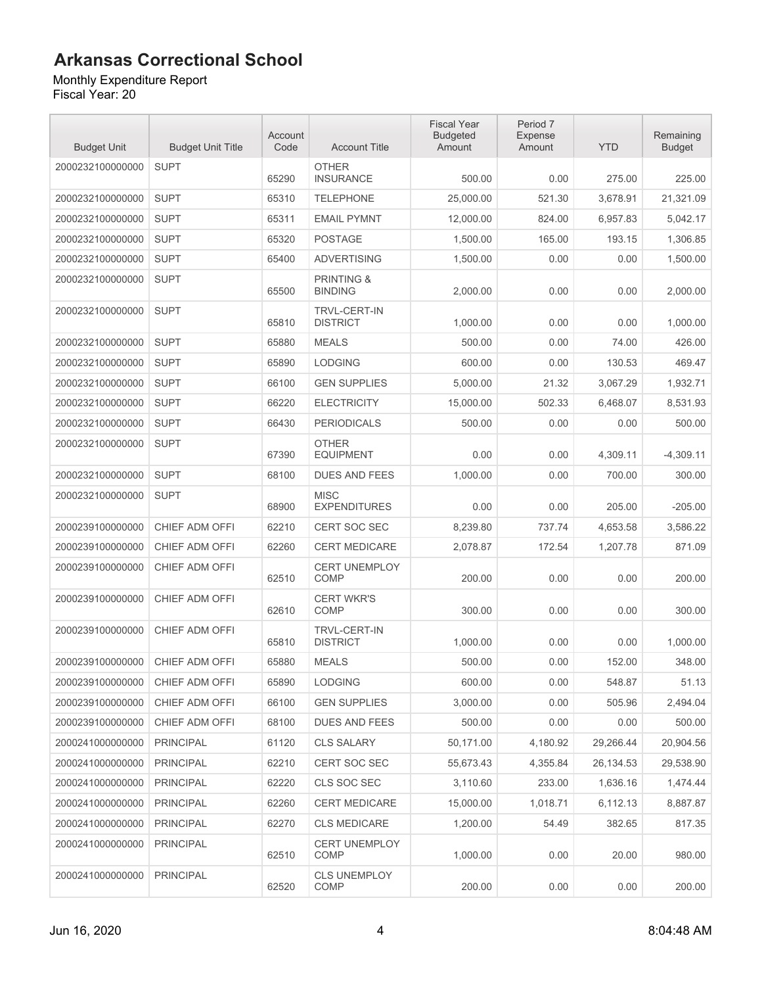Monthly Expenditure Report Fiscal Year: 20

| <b>Budget Unit</b> | <b>Budget Unit Title</b> | Account<br>Code | <b>Account Title</b>                    | <b>Fiscal Year</b><br><b>Budgeted</b><br>Amount | Period 7<br>Expense<br>Amount | <b>YTD</b> | Remaining<br><b>Budget</b> |
|--------------------|--------------------------|-----------------|-----------------------------------------|-------------------------------------------------|-------------------------------|------------|----------------------------|
| 2000232100000000   | <b>SUPT</b>              | 65290           | <b>OTHER</b><br><b>INSURANCE</b>        | 500.00                                          | 0.00                          | 275.00     | 225.00                     |
| 2000232100000000   | <b>SUPT</b>              | 65310           | <b>TELEPHONE</b>                        | 25,000.00                                       | 521.30                        | 3,678.91   | 21,321.09                  |
| 2000232100000000   | <b>SUPT</b>              | 65311           | <b>EMAIL PYMNT</b>                      | 12,000.00                                       | 824.00                        | 6,957.83   | 5,042.17                   |
| 2000232100000000   | <b>SUPT</b>              | 65320           | <b>POSTAGE</b>                          | 1,500.00                                        | 165.00                        | 193.15     | 1,306.85                   |
| 2000232100000000   | <b>SUPT</b>              | 65400           | <b>ADVERTISING</b>                      | 1,500.00                                        | 0.00                          | 0.00       | 1,500.00                   |
| 2000232100000000   | <b>SUPT</b>              | 65500           | <b>PRINTING &amp;</b><br><b>BINDING</b> | 2.000.00                                        | 0.00                          | 0.00       | 2,000.00                   |
| 2000232100000000   | <b>SUPT</b>              | 65810           | <b>TRVL-CERT-IN</b><br><b>DISTRICT</b>  | 1,000.00                                        | 0.00                          | 0.00       | 1,000.00                   |
| 2000232100000000   | <b>SUPT</b>              | 65880           | <b>MEALS</b>                            | 500.00                                          | 0.00                          | 74.00      | 426.00                     |
| 2000232100000000   | <b>SUPT</b>              | 65890           | <b>LODGING</b>                          | 600.00                                          | 0.00                          | 130.53     | 469.47                     |
| 2000232100000000   | <b>SUPT</b>              | 66100           | <b>GEN SUPPLIES</b>                     | 5,000.00                                        | 21.32                         | 3.067.29   | 1,932.71                   |
| 2000232100000000   | <b>SUPT</b>              | 66220           | <b>ELECTRICITY</b>                      | 15,000.00                                       | 502.33                        | 6,468.07   | 8,531.93                   |
| 2000232100000000   | <b>SUPT</b>              | 66430           | <b>PERIODICALS</b>                      | 500.00                                          | 0.00                          | 0.00       | 500.00                     |
| 2000232100000000   | <b>SUPT</b>              | 67390           | <b>OTHER</b><br><b>EQUIPMENT</b>        | 0.00                                            | 0.00                          | 4,309.11   | $-4,309.11$                |
| 2000232100000000   | <b>SUPT</b>              | 68100           | <b>DUES AND FEES</b>                    | 1,000.00                                        | 0.00                          | 700.00     | 300.00                     |
| 2000232100000000   | <b>SUPT</b>              | 68900           | <b>MISC</b><br><b>EXPENDITURES</b>      | 0.00                                            | 0.00                          | 205.00     | $-205.00$                  |
| 2000239100000000   | CHIEF ADM OFFI           | 62210           | <b>CERT SOC SEC</b>                     | 8,239.80                                        | 737.74                        | 4,653.58   | 3,586.22                   |
| 2000239100000000   | CHIEF ADM OFFI           | 62260           | <b>CERT MEDICARE</b>                    | 2,078.87                                        | 172.54                        | 1,207.78   | 871.09                     |
| 2000239100000000   | CHIEF ADM OFFI           | 62510           | <b>CERT UNEMPLOY</b><br><b>COMP</b>     | 200.00                                          | 0.00                          | 0.00       | 200.00                     |
| 2000239100000000   | CHIEF ADM OFFI           | 62610           | <b>CERT WKR'S</b><br>COMP               | 300.00                                          | 0.00                          | 0.00       | 300.00                     |
| 2000239100000000   | CHIEF ADM OFFI           | 65810           | <b>TRVL-CERT-IN</b><br><b>DISTRICT</b>  | 1,000.00                                        | 0.00                          | 0.00       | 1.000.00                   |
| 2000239100000000   | CHIEF ADM OFFI           | 65880           | <b>MEALS</b>                            | 500.00                                          | 0.00                          | 152.00     | 348.00                     |
| 2000239100000000   | CHIEF ADM OFFI           | 65890           | <b>LODGING</b>                          | 600.00                                          | 0.00                          | 548.87     | 51.13                      |
| 2000239100000000   | CHIEF ADM OFFI           | 66100           | <b>GEN SUPPLIES</b>                     | 3,000.00                                        | 0.00                          | 505.96     | 2,494.04                   |
| 2000239100000000   | CHIEF ADM OFFI           | 68100           | <b>DUES AND FEES</b>                    | 500.00                                          | 0.00                          | 0.00       | 500.00                     |
| 2000241000000000   | <b>PRINCIPAL</b>         | 61120           | <b>CLS SALARY</b>                       | 50,171.00                                       | 4,180.92                      | 29,266.44  | 20,904.56                  |
| 2000241000000000   | <b>PRINCIPAL</b>         | 62210           | CERT SOC SEC                            | 55,673.43                                       | 4,355.84                      | 26,134.53  | 29,538.90                  |
| 2000241000000000   | <b>PRINCIPAL</b>         | 62220           | CLS SOC SEC                             | 3,110.60                                        | 233.00                        | 1,636.16   | 1,474.44                   |
| 2000241000000000   | <b>PRINCIPAL</b>         | 62260           | <b>CERT MEDICARE</b>                    | 15,000.00                                       | 1,018.71                      | 6,112.13   | 8,887.87                   |
| 2000241000000000   | <b>PRINCIPAL</b>         | 62270           | <b>CLS MEDICARE</b>                     | 1,200.00                                        | 54.49                         | 382.65     | 817.35                     |
| 2000241000000000   | <b>PRINCIPAL</b>         | 62510           | <b>CERT UNEMPLOY</b><br>COMP            | 1,000.00                                        | 0.00                          | 20.00      | 980.00                     |
| 2000241000000000   | <b>PRINCIPAL</b>         | 62520           | <b>CLS UNEMPLOY</b><br>COMP             | 200.00                                          | 0.00                          | 0.00       | 200.00                     |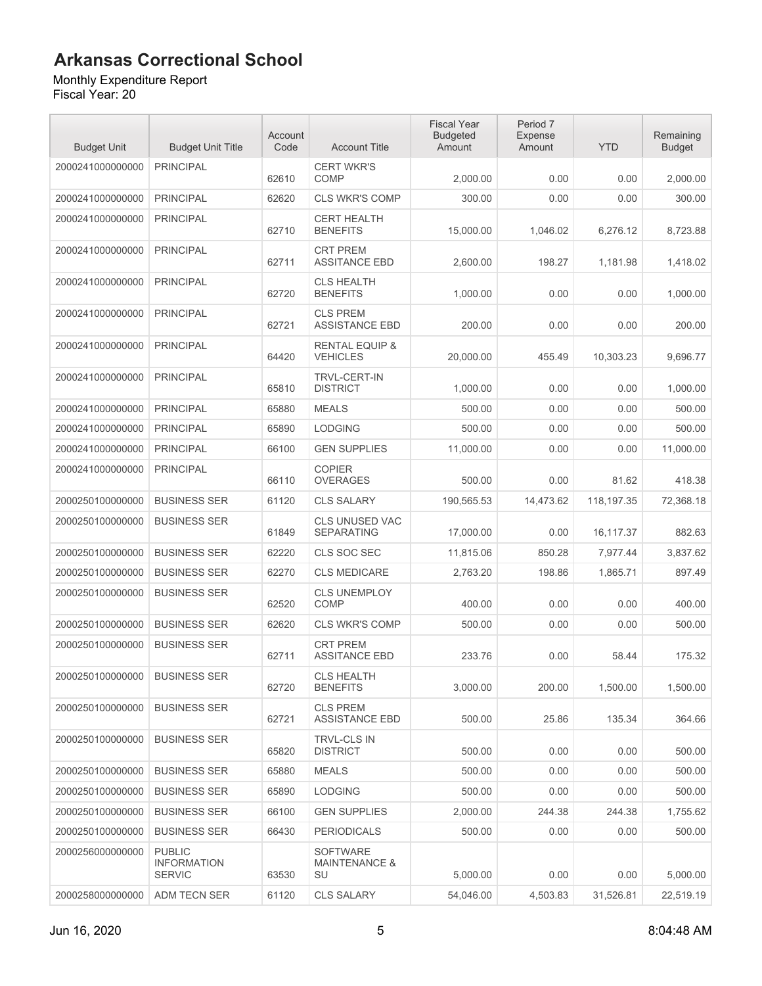#### Monthly Expenditure Report

| <b>Budget Unit</b> | <b>Budget Unit Title</b>                             | Account<br>Code | <b>Account Title</b>                              | <b>Fiscal Year</b><br><b>Budgeted</b><br>Amount | Period 7<br><b>Expense</b><br>Amount | <b>YTD</b> | Remaining<br><b>Budget</b> |
|--------------------|------------------------------------------------------|-----------------|---------------------------------------------------|-------------------------------------------------|--------------------------------------|------------|----------------------------|
| 2000241000000000   | <b>PRINCIPAL</b>                                     | 62610           | <b>CERT WKR'S</b><br><b>COMP</b>                  | 2,000.00                                        | 0.00                                 | 0.00       | 2,000.00                   |
| 2000241000000000   | <b>PRINCIPAL</b>                                     | 62620           | <b>CLS WKR'S COMP</b>                             | 300.00                                          | 0.00                                 | 0.00       | 300.00                     |
| 2000241000000000   | <b>PRINCIPAL</b>                                     | 62710           | <b>CERT HEALTH</b><br><b>BENEFITS</b>             | 15,000.00                                       | 1,046.02                             | 6,276.12   | 8,723.88                   |
| 2000241000000000   | <b>PRINCIPAL</b>                                     | 62711           | <b>CRT PREM</b><br><b>ASSITANCE EBD</b>           | 2,600.00                                        | 198.27                               | 1.181.98   | 1,418.02                   |
| 2000241000000000   | <b>PRINCIPAL</b>                                     | 62720           | <b>CLS HEALTH</b><br><b>BENEFITS</b>              | 1,000.00                                        | 0.00                                 | 0.00       | 1.000.00                   |
| 2000241000000000   | <b>PRINCIPAL</b>                                     | 62721           | <b>CLS PREM</b><br><b>ASSISTANCE EBD</b>          | 200.00                                          | 0.00                                 | 0.00       | 200.00                     |
| 2000241000000000   | <b>PRINCIPAL</b>                                     | 64420           | <b>RENTAL EQUIP &amp;</b><br><b>VEHICLES</b>      | 20,000.00                                       | 455.49                               | 10,303.23  | 9,696.77                   |
| 2000241000000000   | <b>PRINCIPAL</b>                                     | 65810           | <b>TRVL-CERT-IN</b><br><b>DISTRICT</b>            | 1,000.00                                        | 0.00                                 | 0.00       | 1,000.00                   |
| 2000241000000000   | <b>PRINCIPAL</b>                                     | 65880           | <b>MEALS</b>                                      | 500.00                                          | 0.00                                 | 0.00       | 500.00                     |
| 2000241000000000   | <b>PRINCIPAL</b>                                     | 65890           | <b>LODGING</b>                                    | 500.00                                          | 0.00                                 | 0.00       | 500.00                     |
| 2000241000000000   | <b>PRINCIPAL</b>                                     | 66100           | <b>GEN SUPPLIES</b>                               | 11.000.00                                       | 0.00                                 | 0.00       | 11,000.00                  |
| 2000241000000000   | <b>PRINCIPAL</b>                                     | 66110           | <b>COPIER</b><br><b>OVERAGES</b>                  | 500.00                                          | 0.00                                 | 81.62      | 418.38                     |
| 2000250100000000   | <b>BUSINESS SER</b>                                  | 61120           | <b>CLS SALARY</b>                                 | 190,565.53                                      | 14,473.62                            | 118,197.35 | 72,368.18                  |
| 2000250100000000   | <b>BUSINESS SER</b>                                  | 61849           | <b>CLS UNUSED VAC</b><br><b>SEPARATING</b>        | 17,000.00                                       | 0.00                                 | 16,117.37  | 882.63                     |
| 2000250100000000   | <b>BUSINESS SER</b>                                  | 62220           | CLS SOC SEC                                       | 11,815.06                                       | 850.28                               | 7,977.44   | 3,837.62                   |
| 2000250100000000   | <b>BUSINESS SER</b>                                  | 62270           | <b>CLS MEDICARE</b>                               | 2,763.20                                        | 198.86                               | 1,865.71   | 897.49                     |
| 2000250100000000   | <b>BUSINESS SER</b>                                  | 62520           | <b>CLS UNEMPLOY</b><br>COMP                       | 400.00                                          | 0.00                                 | 0.00       | 400.00                     |
| 2000250100000000   | <b>BUSINESS SER</b>                                  | 62620           | <b>CLS WKR'S COMP</b>                             | 500.00                                          | 0.00                                 | 0.00       | 500.00                     |
| 2000250100000000   | <b>BUSINESS SER</b>                                  | 62711           | <b>CRT PREM</b><br><b>ASSITANCE EBD</b>           | 233.76                                          | 0.00                                 | 58.44      | 175.32                     |
| 2000250100000000   | <b>BUSINESS SER</b>                                  | 62720           | <b>CLS HEALTH</b><br><b>BENEFITS</b>              | 3,000.00                                        | 200.00                               | 1,500.00   | 1,500.00                   |
| 2000250100000000   | <b>BUSINESS SER</b>                                  | 62721           | <b>CLS PREM</b><br><b>ASSISTANCE EBD</b>          | 500.00                                          | 25.86                                | 135.34     | 364.66                     |
| 2000250100000000   | <b>BUSINESS SER</b>                                  | 65820           | TRVL-CLS IN<br><b>DISTRICT</b>                    | 500.00                                          | 0.00                                 | 0.00       | 500.00                     |
| 2000250100000000   | <b>BUSINESS SER</b>                                  | 65880           | <b>MEALS</b>                                      | 500.00                                          | 0.00                                 | 0.00       | 500.00                     |
| 2000250100000000   | <b>BUSINESS SER</b>                                  | 65890           | <b>LODGING</b>                                    | 500.00                                          | 0.00                                 | 0.00       | 500.00                     |
| 2000250100000000   | <b>BUSINESS SER</b>                                  | 66100           | <b>GEN SUPPLIES</b>                               | 2.000.00                                        | 244.38                               | 244.38     | 1,755.62                   |
| 2000250100000000   | <b>BUSINESS SER</b>                                  | 66430           | <b>PERIODICALS</b>                                | 500.00                                          | 0.00                                 | 0.00       | 500.00                     |
| 2000256000000000   | <b>PUBLIC</b><br><b>INFORMATION</b><br><b>SERVIC</b> | 63530           | <b>SOFTWARE</b><br><b>MAINTENANCE &amp;</b><br>SU | 5,000.00                                        | 0.00                                 | 0.00       | 5,000.00                   |
| 2000258000000000   | ADM TECN SER                                         | 61120           | <b>CLS SALARY</b>                                 | 54,046.00                                       | 4,503.83                             | 31,526.81  | 22,519.19                  |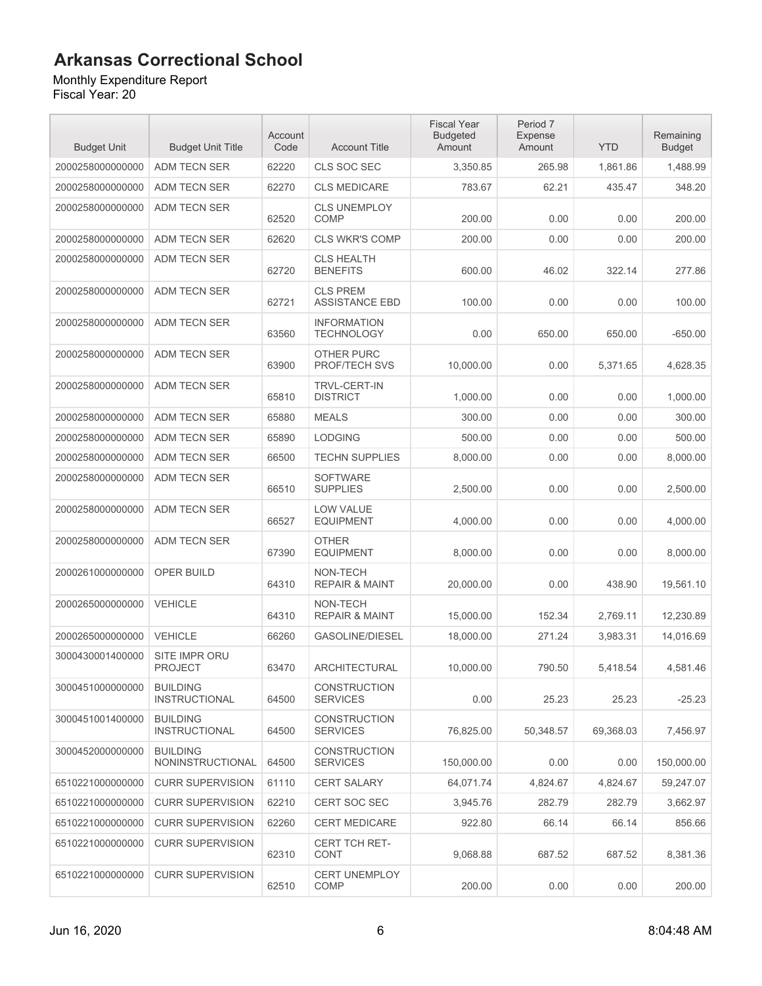#### Monthly Expenditure Report

| <b>Budget Unit</b> | <b>Budget Unit Title</b>                | Account<br>Code | <b>Account Title</b>                     | <b>Fiscal Year</b><br><b>Budgeted</b><br>Amount | Period 7<br>Expense<br>Amount | <b>YTD</b> | Remaining<br><b>Budget</b> |
|--------------------|-----------------------------------------|-----------------|------------------------------------------|-------------------------------------------------|-------------------------------|------------|----------------------------|
| 2000258000000000   | ADM TECN SER                            | 62220           | CLS SOC SEC                              | 3,350.85                                        | 265.98                        | 1,861.86   | 1,488.99                   |
| 2000258000000000   | ADM TECN SER                            | 62270           | <b>CLS MEDICARE</b>                      | 783.67                                          | 62.21                         | 435.47     | 348.20                     |
| 2000258000000000   | ADM TECN SER                            | 62520           | <b>CLS UNEMPLOY</b><br><b>COMP</b>       | 200.00                                          | 0.00                          | 0.00       | 200.00                     |
| 2000258000000000   | <b>ADM TECN SER</b>                     | 62620           | <b>CLS WKR'S COMP</b>                    | 200.00                                          | 0.00                          | 0.00       | 200.00                     |
| 2000258000000000   | ADM TECN SER                            | 62720           | <b>CLS HEALTH</b><br><b>BENEFITS</b>     | 600.00                                          | 46.02                         | 322.14     | 277.86                     |
| 2000258000000000   | ADM TECN SER                            | 62721           | <b>CLS PREM</b><br><b>ASSISTANCE EBD</b> | 100.00                                          | 0.00                          | 0.00       | 100.00                     |
| 2000258000000000   | ADM TECN SER                            | 63560           | <b>INFORMATION</b><br><b>TECHNOLOGY</b>  | 0.00                                            | 650.00                        | 650.00     | $-650.00$                  |
| 2000258000000000   | <b>ADM TECN SER</b>                     | 63900           | OTHER PURC<br>PROF/TECH SVS              | 10,000.00                                       | 0.00                          | 5,371.65   | 4,628.35                   |
| 2000258000000000   | ADM TECN SER                            | 65810           | <b>TRVL-CERT-IN</b><br><b>DISTRICT</b>   | 1,000.00                                        | 0.00                          | 0.00       | 1,000.00                   |
| 2000258000000000   | <b>ADM TECN SER</b>                     | 65880           | <b>MEALS</b>                             | 300.00                                          | 0.00                          | 0.00       | 300.00                     |
| 2000258000000000   | ADM TECN SER                            | 65890           | <b>LODGING</b>                           | 500.00                                          | 0.00                          | 0.00       | 500.00                     |
| 2000258000000000   | ADM TECN SER                            | 66500           | <b>TECHN SUPPLIES</b>                    | 8.000.00                                        | 0.00                          | 0.00       | 8.000.00                   |
| 2000258000000000   | ADM TECN SER                            | 66510           | <b>SOFTWARE</b><br><b>SUPPLIES</b>       | 2,500.00                                        | 0.00                          | 0.00       | 2,500.00                   |
| 2000258000000000   | ADM TECN SER                            | 66527           | <b>LOW VALUE</b><br><b>EQUIPMENT</b>     | 4,000.00                                        | 0.00                          | 0.00       | 4,000.00                   |
| 2000258000000000   | ADM TECN SER                            | 67390           | <b>OTHER</b><br><b>EQUIPMENT</b>         | 8,000.00                                        | 0.00                          | 0.00       | 8,000.00                   |
| 2000261000000000   | OPER BUILD                              | 64310           | NON-TECH<br><b>REPAIR &amp; MAINT</b>    | 20,000.00                                       | 0.00                          | 438.90     | 19,561.10                  |
| 2000265000000000   | <b>VEHICLE</b>                          | 64310           | NON-TECH<br><b>REPAIR &amp; MAINT</b>    | 15.000.00                                       | 152.34                        | 2,769.11   | 12,230.89                  |
| 2000265000000000   | <b>VEHICLE</b>                          | 66260           | <b>GASOLINE/DIESEL</b>                   | 18,000.00                                       | 271.24                        | 3,983.31   | 14,016.69                  |
| 3000430001400000   | SITE IMPR ORU<br><b>PROJECT</b>         | 63470           | <b>ARCHITECTURAL</b>                     | 10,000.00                                       | 790.50                        | 5,418.54   | 4,581.46                   |
| 3000451000000000   | <b>BUILDING</b><br><b>INSTRUCTIONAL</b> | 64500           | <b>CONSTRUCTION</b><br><b>SERVICES</b>   | 0.00                                            | 25.23                         | 25.23      | $-25.23$                   |
| 3000451001400000   | <b>BUILDING</b><br><b>INSTRUCTIONAL</b> | 64500           | <b>CONSTRUCTION</b><br><b>SERVICES</b>   | 76,825.00                                       | 50,348.57                     | 69,368.03  | 7,456.97                   |
| 3000452000000000   | <b>BUILDING</b><br>NONINSTRUCTIONAL     | 64500           | <b>CONSTRUCTION</b><br><b>SERVICES</b>   | 150,000.00                                      | 0.00                          | 0.00       | 150.000.00                 |
| 6510221000000000   | <b>CURR SUPERVISION</b>                 | 61110           | <b>CERT SALARY</b>                       | 64,071.74                                       | 4,824.67                      | 4,824.67   | 59,247.07                  |
| 6510221000000000   | <b>CURR SUPERVISION</b>                 | 62210           | <b>CERT SOC SEC</b>                      | 3,945.76                                        | 282.79                        | 282.79     | 3,662.97                   |
| 6510221000000000   | <b>CURR SUPERVISION</b>                 | 62260           | <b>CERT MEDICARE</b>                     | 922.80                                          | 66.14                         | 66.14      | 856.66                     |
| 6510221000000000   | <b>CURR SUPERVISION</b>                 | 62310           | <b>CERT TCH RET-</b><br><b>CONT</b>      | 9,068.88                                        | 687.52                        | 687.52     | 8,381.36                   |
| 6510221000000000   | <b>CURR SUPERVISION</b>                 | 62510           | <b>CERT UNEMPLOY</b><br><b>COMP</b>      | 200.00                                          | 0.00                          | 0.00       | 200.00                     |